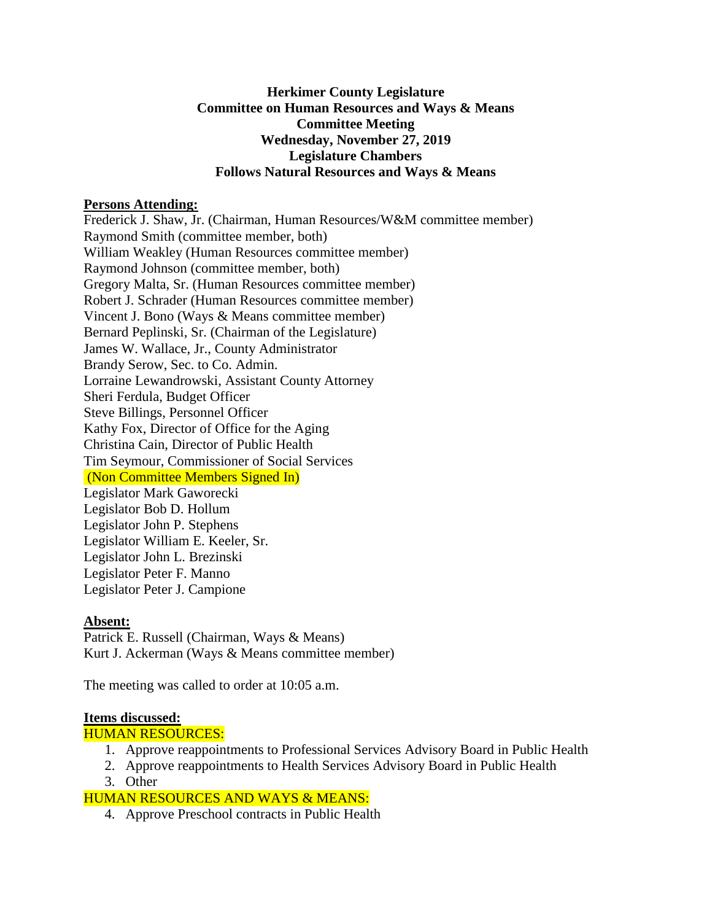### **Herkimer County Legislature Committee on Human Resources and Ways & Means Committee Meeting Wednesday, November 27, 2019 Legislature Chambers Follows Natural Resources and Ways & Means**

#### **Persons Attending:**

Frederick J. Shaw, Jr. (Chairman, Human Resources/W&M committee member) Raymond Smith (committee member, both) William Weakley (Human Resources committee member) Raymond Johnson (committee member, both) Gregory Malta, Sr. (Human Resources committee member) Robert J. Schrader (Human Resources committee member) Vincent J. Bono (Ways & Means committee member) Bernard Peplinski, Sr. (Chairman of the Legislature) James W. Wallace, Jr., County Administrator Brandy Serow, Sec. to Co. Admin. Lorraine Lewandrowski, Assistant County Attorney Sheri Ferdula, Budget Officer Steve Billings, Personnel Officer Kathy Fox, Director of Office for the Aging Christina Cain, Director of Public Health Tim Seymour, Commissioner of Social Services (Non Committee Members Signed In) Legislator Mark Gaworecki Legislator Bob D. Hollum Legislator John P. Stephens Legislator William E. Keeler, Sr. Legislator John L. Brezinski Legislator Peter F. Manno Legislator Peter J. Campione

# **Absent:**

Patrick E. Russell (Chairman, Ways & Means) Kurt J. Ackerman (Ways & Means committee member)

The meeting was called to order at 10:05 a.m.

#### **Items discussed:**

# HUMAN RESOURCES:

- 1. Approve reappointments to Professional Services Advisory Board in Public Health
- 2. Approve reappointments to Health Services Advisory Board in Public Health
- 3. Other

# HUMAN RESOURCES AND WAYS & MEANS:

4. Approve Preschool contracts in Public Health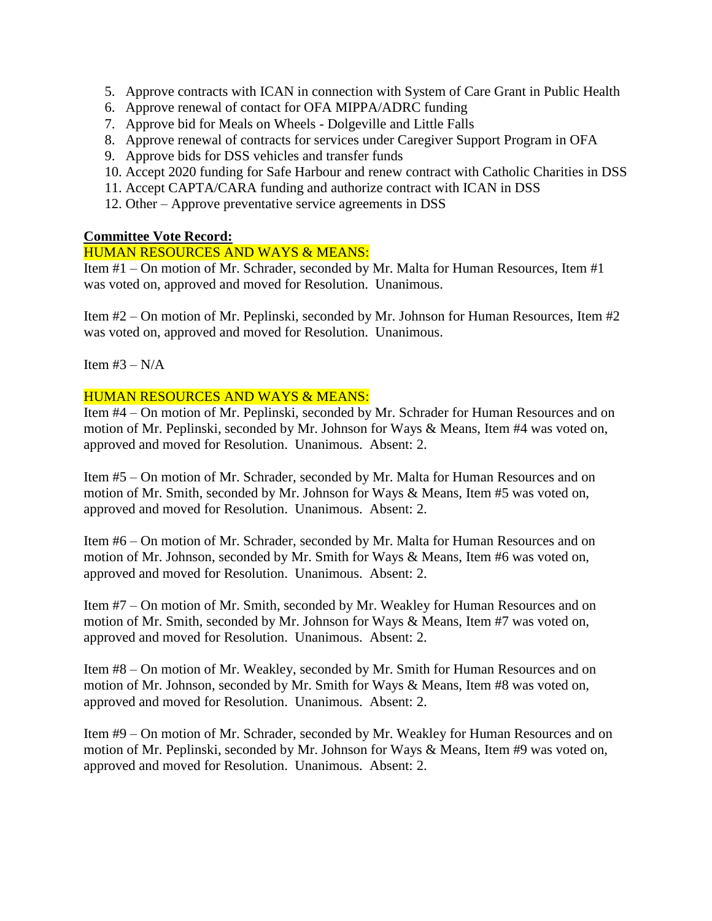- 5. Approve contracts with ICAN in connection with System of Care Grant in Public Health
- 6. Approve renewal of contact for OFA MIPPA/ADRC funding
- 7. Approve bid for Meals on Wheels Dolgeville and Little Falls
- 8. Approve renewal of contracts for services under Caregiver Support Program in OFA
- 9. Approve bids for DSS vehicles and transfer funds
- 10. Accept 2020 funding for Safe Harbour and renew contract with Catholic Charities in DSS
- 11. Accept CAPTA/CARA funding and authorize contract with ICAN in DSS
- 12. Other Approve preventative service agreements in DSS

# **Committee Vote Record:**

# HUMAN RESOURCES AND WAYS & MEANS:

Item #1 – On motion of Mr. Schrader, seconded by Mr. Malta for Human Resources, Item #1 was voted on, approved and moved for Resolution. Unanimous.

Item #2 – On motion of Mr. Peplinski, seconded by Mr. Johnson for Human Resources, Item #2 was voted on, approved and moved for Resolution. Unanimous.

Item  $#3 - N/A$ 

# HUMAN RESOURCES AND WAYS & MEANS:

Item #4 – On motion of Mr. Peplinski, seconded by Mr. Schrader for Human Resources and on motion of Mr. Peplinski, seconded by Mr. Johnson for Ways & Means, Item #4 was voted on, approved and moved for Resolution. Unanimous. Absent: 2.

Item #5 – On motion of Mr. Schrader, seconded by Mr. Malta for Human Resources and on motion of Mr. Smith, seconded by Mr. Johnson for Ways & Means, Item #5 was voted on, approved and moved for Resolution. Unanimous. Absent: 2.

Item #6 – On motion of Mr. Schrader, seconded by Mr. Malta for Human Resources and on motion of Mr. Johnson, seconded by Mr. Smith for Ways & Means, Item #6 was voted on, approved and moved for Resolution. Unanimous. Absent: 2.

Item #7 – On motion of Mr. Smith, seconded by Mr. Weakley for Human Resources and on motion of Mr. Smith, seconded by Mr. Johnson for Ways & Means, Item #7 was voted on, approved and moved for Resolution. Unanimous. Absent: 2.

Item #8 – On motion of Mr. Weakley, seconded by Mr. Smith for Human Resources and on motion of Mr. Johnson, seconded by Mr. Smith for Ways & Means, Item #8 was voted on, approved and moved for Resolution. Unanimous. Absent: 2.

Item #9 – On motion of Mr. Schrader, seconded by Mr. Weakley for Human Resources and on motion of Mr. Peplinski, seconded by Mr. Johnson for Ways & Means, Item #9 was voted on, approved and moved for Resolution. Unanimous. Absent: 2.